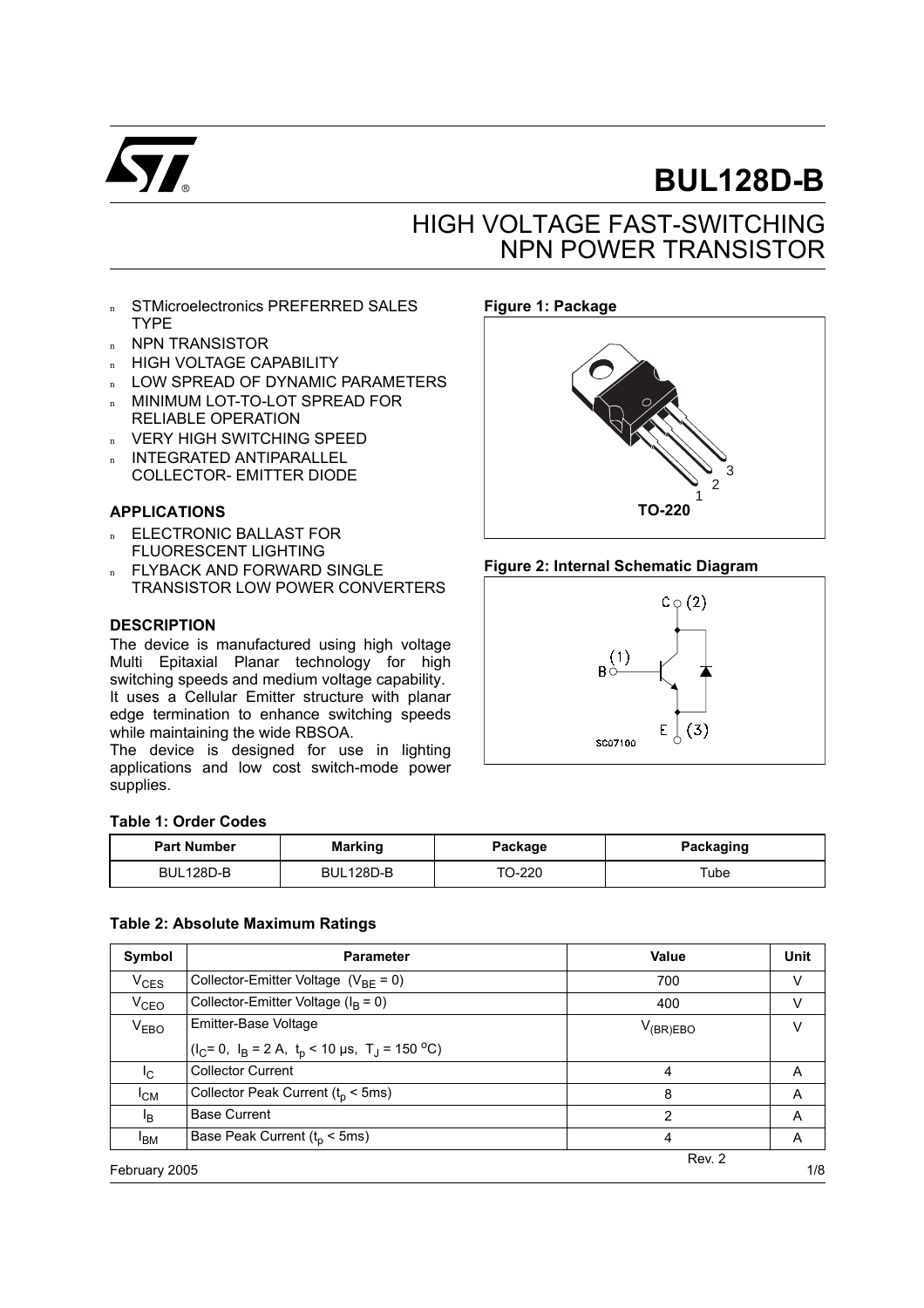

# **BUL128D-B**

# HIGH VOLTAGE FAST-SWITCHING NPN POWER TRANSISTOR

- STMicroelectronics PREFERRED SALES TYPE
- n NPN TRANSISTOR
- n HIGH VOLTAGE CAPABILITY
- n LOW SPREAD OF DYNAMIC PARAMETERS
- n MINIMUM LOT-TO-LOT SPREAD FOR RELIABLE OPERATION
- n VERY HIGH SWITCHING SPEED
- <sup>n</sup> INTEGRATED ANTIPARALLEL
- COLLECTOR- EMITTER DIODE

### **APPLICATIONS**

- n ELECTRONIC BALLAST FOR FLUORESCENT LIGHTING
- n FLYBACK AND FORWARD SINGLE TRANSISTOR LOW POWER CONVERTERS

#### **DESCRIPTION**

The device is manufactured using high voltage Multi Epitaxial Planar technology for high switching speeds and medium voltage capability. It uses a Cellular Emitter structure with planar edge termination to enhance switching speeds while maintaining the wide RBSOA.

The device is designed for use in lighting applications and low cost switch-mode power supplies.

#### **Table 1: Order Codes**

| <b>Part Number</b> | <b>Marking</b> | Package | Packaging |  |
|--------------------|----------------|---------|-----------|--|
| BUL128D-B          | BUL128D-B      |         | Tube      |  |

#### **Table 2: Absolute Maximum Ratings**

| Symbol           | <b>Parameter</b>                                                     | Value         | Unit |
|------------------|----------------------------------------------------------------------|---------------|------|
| $V_{CES}$        | Collector-Emitter Voltage $(V_{BF} = 0)$                             | 700           | V    |
| $V_{\text{CEO}}$ | Collector-Emitter Voltage ( $I_B = 0$ )                              | 400           | v    |
| V <sub>EBO</sub> | Emitter-Base Voltage                                                 | $V_{(BR)EBO}$ | v    |
|                  | $I_C = 0$ , $I_B = 2 A$ , $t_D < 10 \mu s$ , $T_J = 150 \degree C$ ) |               |      |
| I <sub>C</sub>   | <b>Collector Current</b>                                             | 4             | A    |
| $I_{CM}$         | Collector Peak Current ( $tp < 5$ ms)                                | 8             | A    |
| l <sub>R</sub>   | <b>Base Current</b>                                                  | 2             | A    |
| <sup>I</sup> BM  | Base Peak Current $(t_0 < 5$ ms)                                     | 4             | A    |
| February 2005    |                                                                      | Rev. 2        | 1/8  |

#### **Figure 1: Package**



#### **Figure 2: Internal Schematic Diagram**

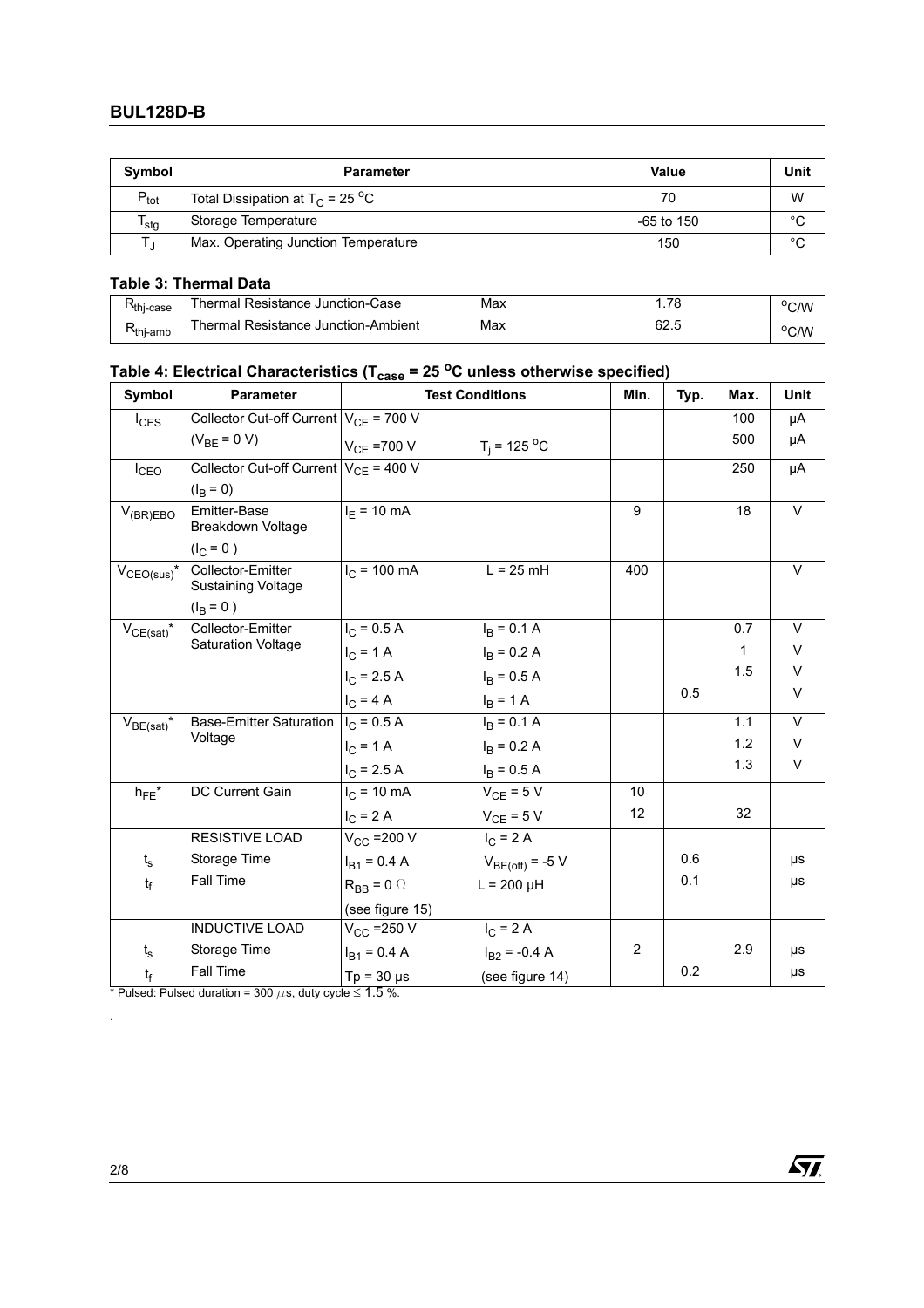| Symbol           | <b>Parameter</b>                               | Value        | Unit    |
|------------------|------------------------------------------------|--------------|---------|
| $P_{\text{tot}}$ | Total Dissipation at $T_C$ = 25 <sup>o</sup> C | 70           | W       |
| <sup>I</sup> stq | Storage Temperature                            | $-65$ to 150 | $\sim$  |
|                  | Max. Operating Junction Temperature            | 150          | $\circ$ |

### **Table 3: Thermal Data**

| <b>T</b> thi-case | ∩hermal Resistance Junction-Case    | Max |      | °C/W |
|-------------------|-------------------------------------|-----|------|------|
| <b>โ</b> thi-amb  | Thermal Resistance Junction-Ambient | Max | 62.5 | °C/W |

# Table 4: Electrical Characteristics (T<sub>case</sub> = 25 °C unless otherwise specified)

| Symbol                     | <b>Parameter</b>                           | <b>Test Conditions</b> |                                | Min. | Typ. | Max. | Unit   |
|----------------------------|--------------------------------------------|------------------------|--------------------------------|------|------|------|--------|
| $I_{CES}$                  | Collector Cut-off Current $V_{CE}$ = 700 V |                        |                                |      |      | 100  | μA     |
|                            | $(V_{BF} = 0 V)$                           |                        | $V_{CE}$ =700 V $T_j$ = 125 °C |      |      | 500  | μA     |
| $I_{CEO}$                  | Collector Cut-off Current $V_{CF}$ = 400 V |                        |                                |      |      | 250  | μA     |
|                            | $(I_R = 0)$                                |                        |                                |      |      |      |        |
| $V_{(BR)EBO}$              | Emitter-Base<br><b>Breakdown Voltage</b>   | $I_F = 10 \text{ mA}$  |                                | 9    |      | 18   | $\vee$ |
|                            | $(I_C = 0)$                                |                        |                                |      |      |      |        |
| $V_{\text{CEO(sus)}}$ *    | Collector-Emitter<br>Sustaining Voltage    | $I_C$ = 100 mA         | $L = 25$ mH                    | 400  |      |      | V      |
|                            | $(I_{\rm B} = 0)$                          |                        |                                |      |      |      |        |
| $V_{CE(sat)}$ <sup>*</sup> | Collector-Emitter                          | $I_C = 0.5 A$          | $I_B = 0.1 A$                  |      |      | 0.7  | $\vee$ |
|                            | <b>Saturation Voltage</b>                  | $I_C = 1 A$            | $I_B = 0.2 A$                  |      |      | 1    | V      |
|                            |                                            | $I_C$ = 2.5 A          | $I_B = 0.5 A$                  |      |      | 1.5  | V      |
|                            |                                            | $I_C = 4 A$            | $I_B = 1 A$                    |      | 0.5  |      | $\vee$ |
| $V_{BE(sat)}$ *            | Base-Emitter Saturation                    | $I_C = 0.5 A$          | $I_B = 0.1 A$                  |      |      | 1.1  | $\vee$ |
|                            | Voltage                                    | $I_C = 1 A$            | $I_B = 0.2 A$                  |      |      | 1.2  | V      |
|                            |                                            | $I_{C}$ = 2.5 A        | $I_B = 0.5 A$                  |      |      | 1.3  | V      |
| $h_{FE}$ *                 | DC Current Gain                            | $I_{C}$ = 10 mA        | $V_{CE}$ = 5 V                 | 10   |      |      |        |
|                            |                                            | $I_C = 2 A$            | $V_{CE}$ = 5 V                 | 12   |      | 32   |        |
|                            | <b>RESISTIVE LOAD</b>                      | $V_{\rm CC}$ =200 V    | $I_C = 2A$                     |      |      |      |        |
| $t_{s}$                    | Storage Time                               | $I_{B1} = 0.4 A$       | $V_{BE(off)} = -5 V$           |      | 0.6  |      | μs     |
| $t_f$                      | Fall Time                                  | $R_{BB} = 0$ $\Omega$  | $L = 200 \mu H$                |      | 0.1  |      | μs     |
|                            |                                            | (see figure 15)        |                                |      |      |      |        |
|                            | <b>INDUCTIVE LOAD</b>                      | $V_{CC}$ =250 V        | $I_C = 2 A$                    |      |      |      |        |
| $t_{s}$                    | Storage Time                               | $I_{B1} = 0.4 A$       | $I_{B2}$ = -0.4 A              | 2    |      | 2.9  | μs     |
| $t_f$                      | Fall Time                                  | $Tp = 30 \mu s$        | (see figure 14)                |      | 0.2  |      | μs     |

\* Pulsed: Pulsed duration = 300  $\mu$ s, duty cycle  $\leq$  1.5 %.



.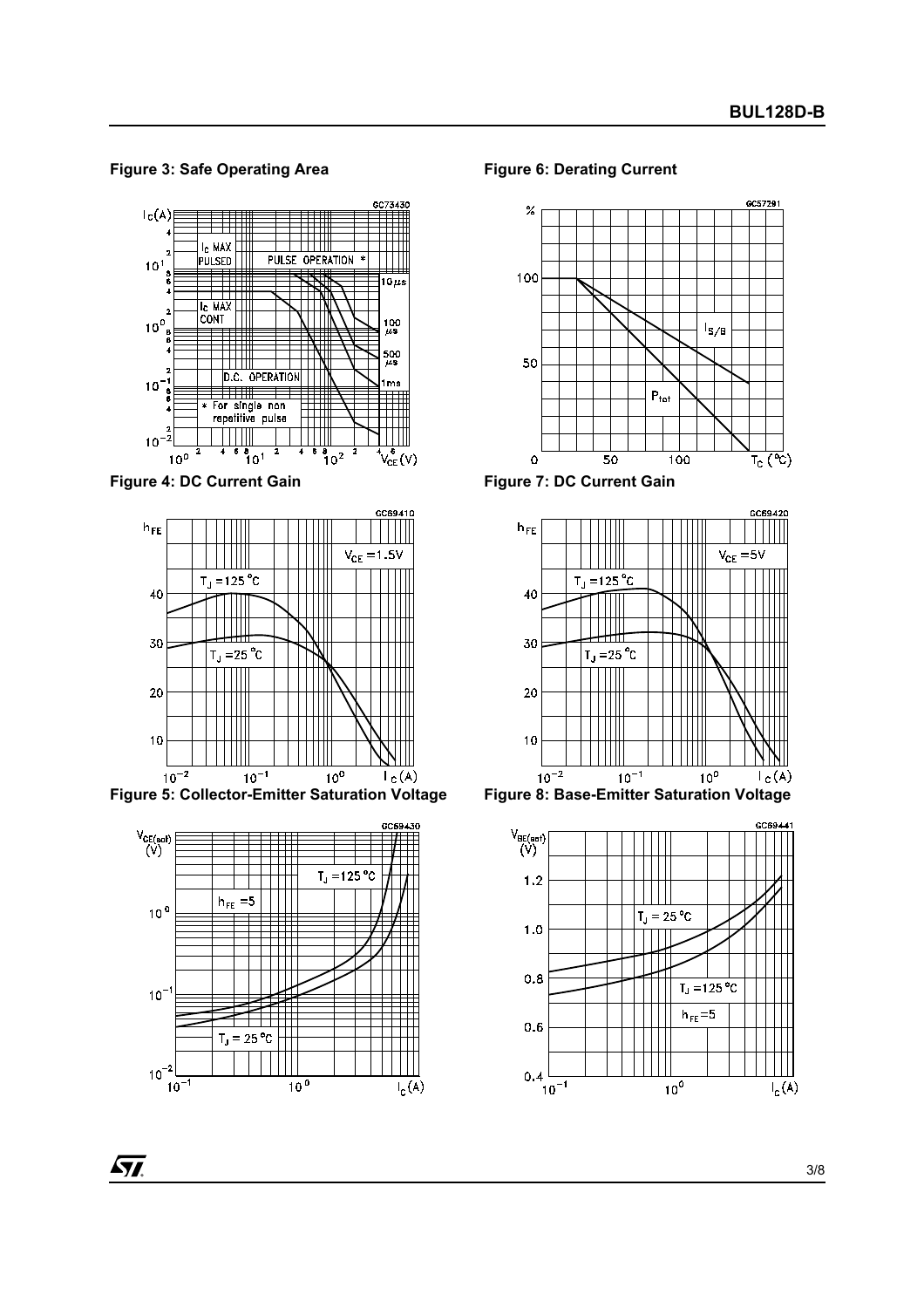**Figure 3: Safe Operating Area**



**Figure 4: DC Current Gain**



**Figure 5: Collector-Emitter Saturation Voltage**



**Figure 6: Derating Current**



**Figure 7: DC Current Gain**







57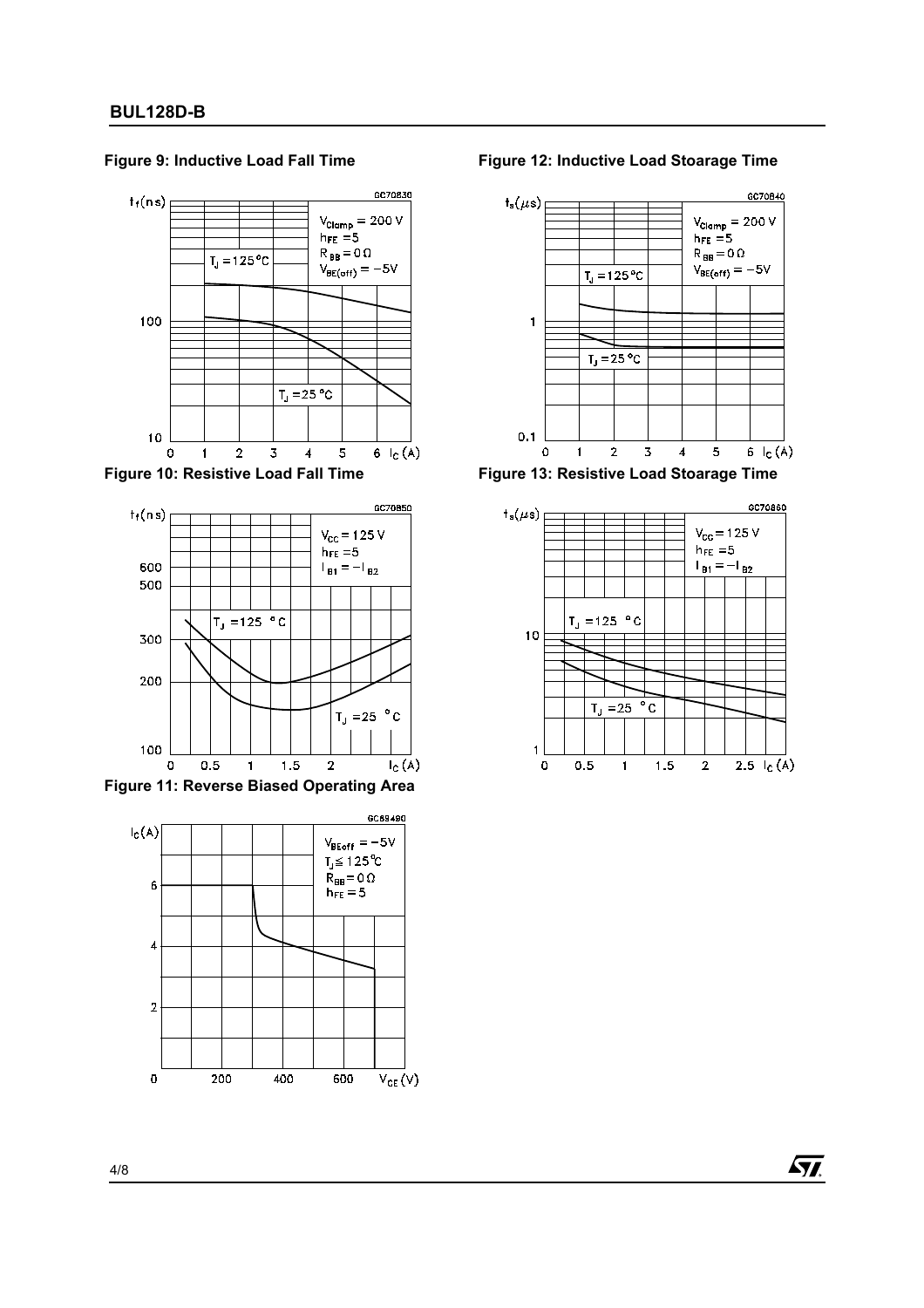

#### **Figure 9: Inductive Load Fall Time**

**Figure 10: Resistive Load Fall Time**



**Figure 11: Reverse Biased Operating Area**







**Figure 13: Resistive Load Stoarage Time**



57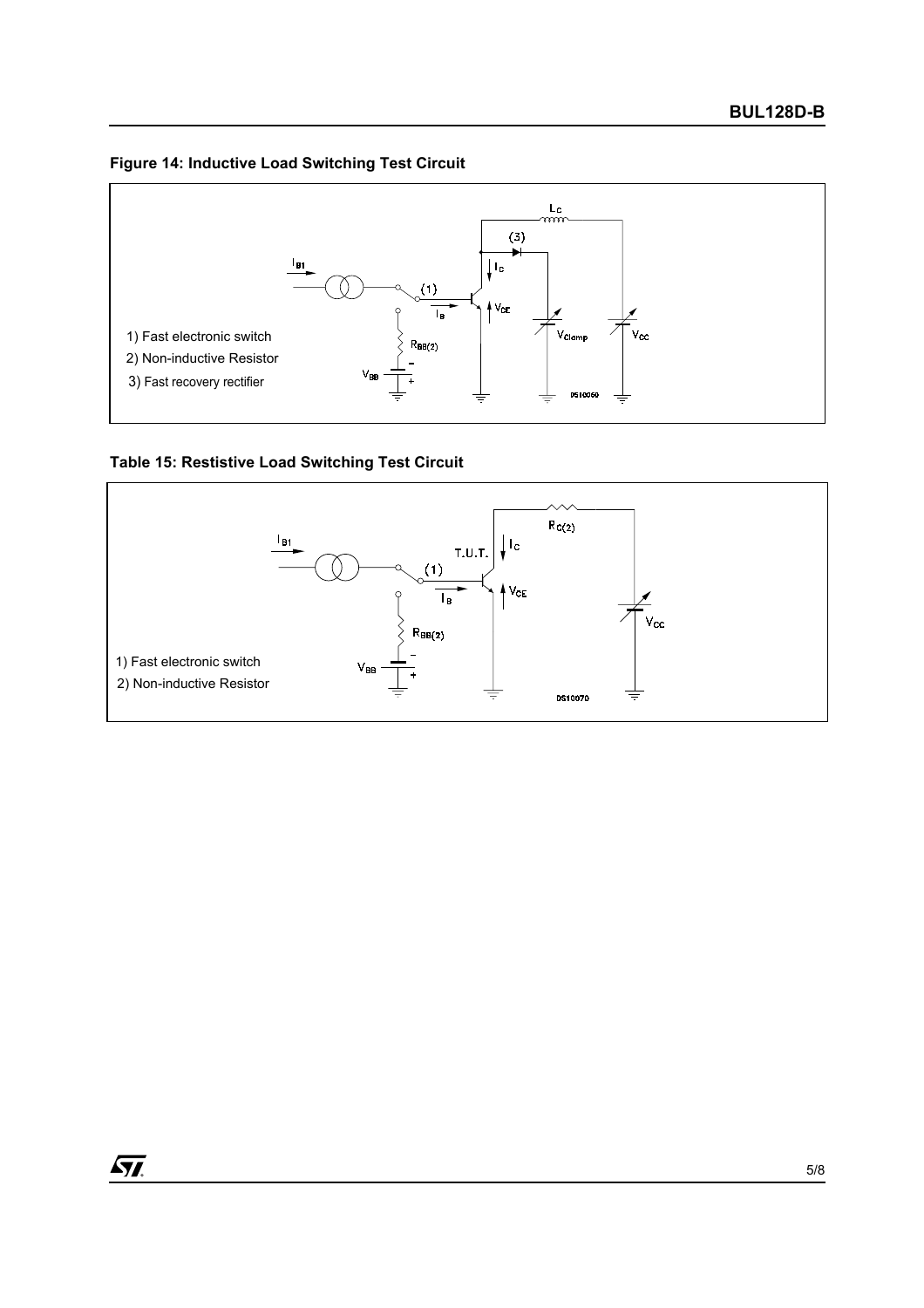# **Figure 14: Inductive Load Switching Test Circuit**



**Table 15: Restistive Load Switching Test Circuit** 



 $\sqrt{M}$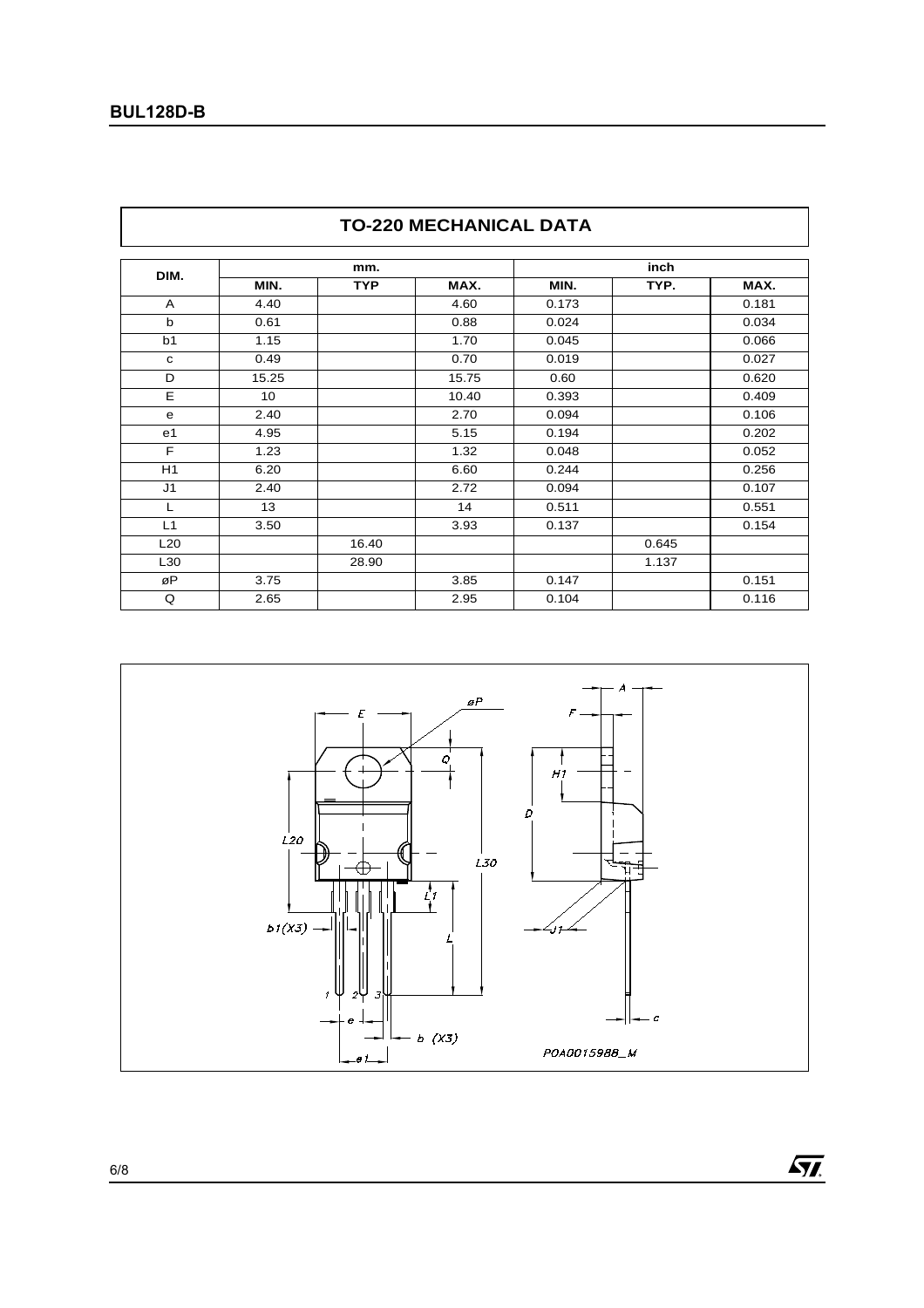| DIM.           |       | mm.        |       |       | inch  |       |  |  |
|----------------|-------|------------|-------|-------|-------|-------|--|--|
|                | MIN.  | <b>TYP</b> | MAX.  | MIN.  | TYP.  | MAX.  |  |  |
| A              | 4.40  |            | 4.60  | 0.173 |       | 0.181 |  |  |
| b              | 0.61  |            | 0.88  | 0.024 |       | 0.034 |  |  |
| b <sub>1</sub> | 1.15  |            | 1.70  | 0.045 |       | 0.066 |  |  |
| C              | 0.49  |            | 0.70  | 0.019 |       | 0.027 |  |  |
| D              | 15.25 |            | 15.75 | 0.60  |       | 0.620 |  |  |
| E              | 10    |            | 10.40 | 0.393 |       | 0.409 |  |  |
| e              | 2.40  |            | 2.70  | 0.094 |       | 0.106 |  |  |
| e <sub>1</sub> | 4.95  |            | 5.15  | 0.194 |       | 0.202 |  |  |
| F              | 1.23  |            | 1.32  | 0.048 |       | 0.052 |  |  |
| H1             | 6.20  |            | 6.60  | 0.244 |       | 0.256 |  |  |
| J <sub>1</sub> | 2.40  |            | 2.72  | 0.094 |       | 0.107 |  |  |
| L              | 13    |            | 14    | 0.511 |       | 0.551 |  |  |
| L1             | 3.50  |            | 3.93  | 0.137 |       | 0.154 |  |  |
| L20            |       | 16.40      |       |       | 0.645 |       |  |  |
| L30            |       | 28.90      |       |       | 1.137 |       |  |  |
| øP             | 3.75  |            | 3.85  | 0.147 |       | 0.151 |  |  |
| Q              | 2.65  |            | 2.95  | 0.104 |       | 0.116 |  |  |





 $\sqrt{M}$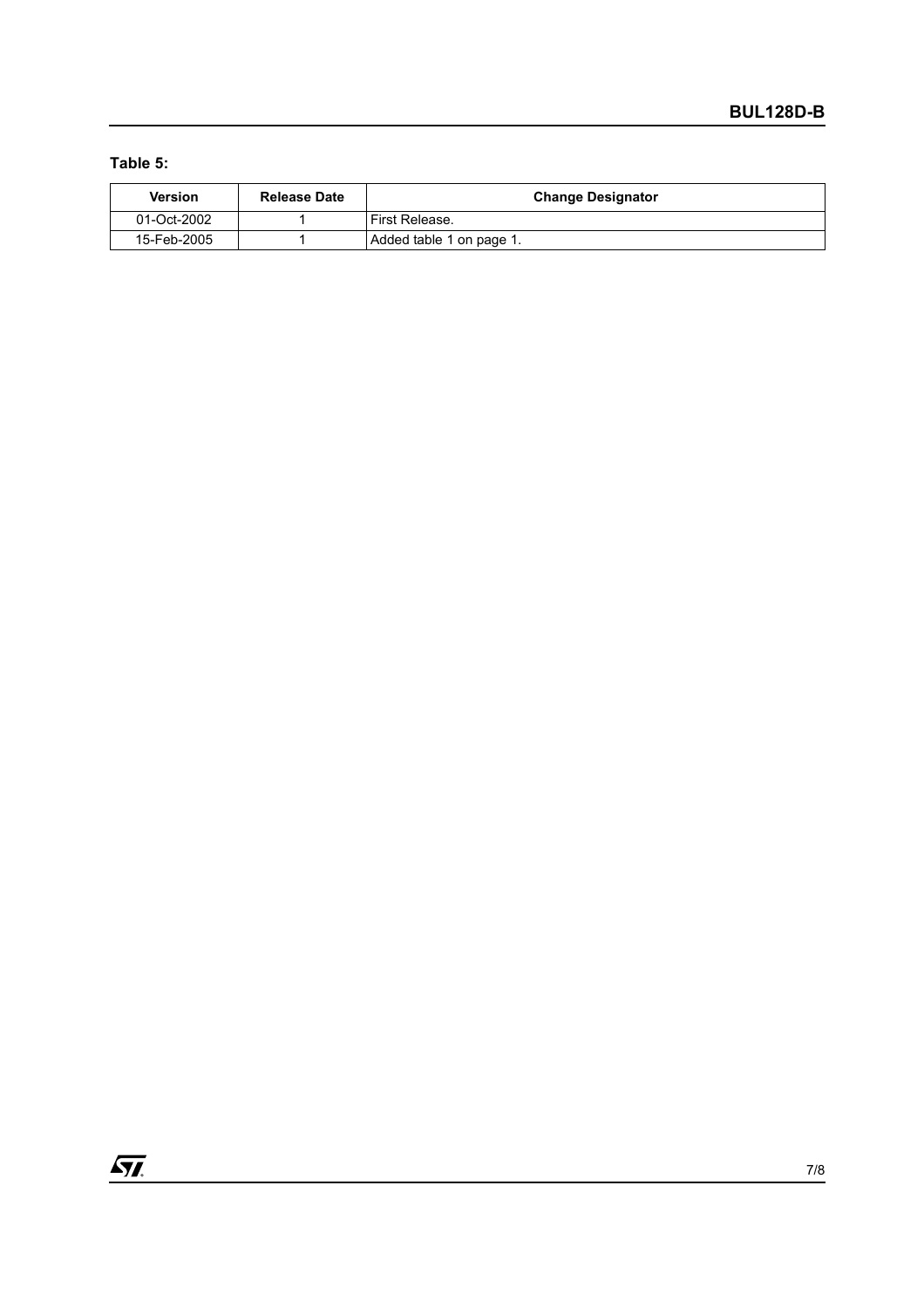# **Table 5:**

| <b>Version</b> | <b>Release Date</b> | <b>Change Designator</b> |
|----------------|---------------------|--------------------------|
| 01-Oct-2002    |                     | l First Release.         |
| 15-Feb-2005    |                     | Added table 1 on page 1. |